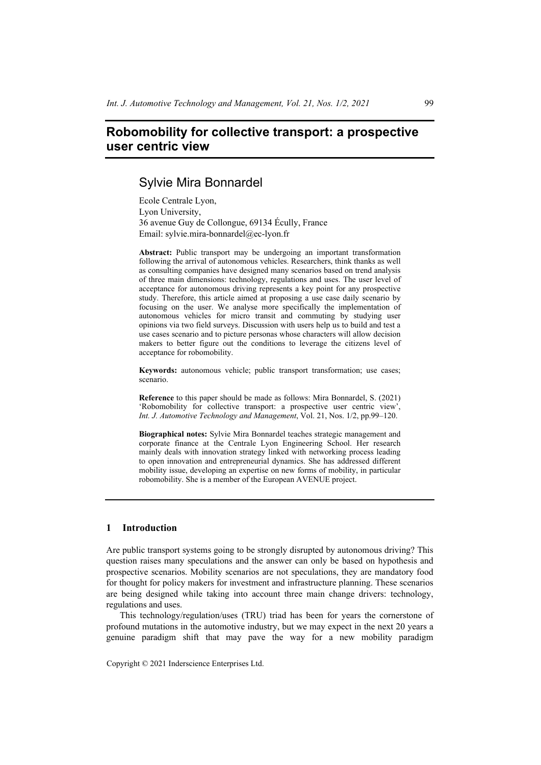# **Robomobility for collective transport: a prospective user centric view**

# Sylvie Mira Bonnardel

Ecole Centrale Lyon, Lyon University, 36 avenue Guy de Collongue, 69134 Écully, France Email: sylvie.mira-bonnardel@ec-lyon.fr

**Abstract:** Public transport may be undergoing an important transformation following the arrival of autonomous vehicles. Researchers, think thanks as well as consulting companies have designed many scenarios based on trend analysis of three main dimensions: technology, regulations and uses. The user level of acceptance for autonomous driving represents a key point for any prospective study. Therefore, this article aimed at proposing a use case daily scenario by focusing on the user. We analyse more specifically the implementation of autonomous vehicles for micro transit and commuting by studying user opinions via two field surveys. Discussion with users help us to build and test a use cases scenario and to picture personas whose characters will allow decision makers to better figure out the conditions to leverage the citizens level of acceptance for robomobility.

**Keywords:** autonomous vehicle; public transport transformation; use cases; scenario.

**Reference** to this paper should be made as follows: Mira Bonnardel, S. (2021) 'Robomobility for collective transport: a prospective user centric view', *Int. J. Automotive Technology and Management*, Vol. 21, Nos. 1/2, pp.99–120.

**Biographical notes:** Sylvie Mira Bonnardel teaches strategic management and corporate finance at the Centrale Lyon Engineering School. Her research mainly deals with innovation strategy linked with networking process leading to open innovation and entrepreneurial dynamics. She has addressed different mobility issue, developing an expertise on new forms of mobility, in particular robomobility. She is a member of the European AVENUE project.

## **1 Introduction**

Are public transport systems going to be strongly disrupted by autonomous driving? This question raises many speculations and the answer can only be based on hypothesis and prospective scenarios. Mobility scenarios are not speculations, they are mandatory food for thought for policy makers for investment and infrastructure planning. These scenarios are being designed while taking into account three main change drivers: technology, regulations and uses.

This technology/regulation/uses (TRU) triad has been for years the cornerstone of profound mutations in the automotive industry, but we may expect in the next 20 years a genuine paradigm shift that may pave the way for a new mobility paradigm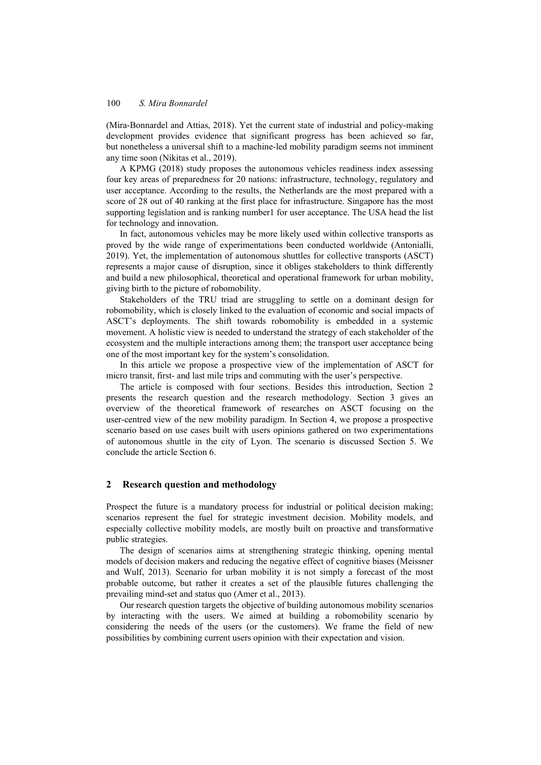(Mira-Bonnardel and Attias, 2018). Yet the current state of industrial and policy-making development provides evidence that significant progress has been achieved so far, but nonetheless a universal shift to a machine-led mobility paradigm seems not imminent any time soon (Nikitas et al., 2019).

A KPMG (2018) study proposes the autonomous vehicles readiness index assessing four key areas of preparedness for 20 nations: infrastructure, technology, regulatory and user acceptance. According to the results, the Netherlands are the most prepared with a score of 28 out of 40 ranking at the first place for infrastructure. Singapore has the most supporting legislation and is ranking number1 for user acceptance. The USA head the list for technology and innovation.

In fact, autonomous vehicles may be more likely used within collective transports as proved by the wide range of experimentations been conducted worldwide (Antonialli, 2019). Yet, the implementation of autonomous shuttles for collective transports (ASCT) represents a major cause of disruption, since it obliges stakeholders to think differently and build a new philosophical, theoretical and operational framework for urban mobility, giving birth to the picture of robomobility.

Stakeholders of the TRU triad are struggling to settle on a dominant design for robomobility, which is closely linked to the evaluation of economic and social impacts of ASCT's deployments. The shift towards robomobility is embedded in a systemic movement. A holistic view is needed to understand the strategy of each stakeholder of the ecosystem and the multiple interactions among them; the transport user acceptance being one of the most important key for the system's consolidation.

In this article we propose a prospective view of the implementation of ASCT for micro transit, first- and last mile trips and commuting with the user's perspective.

The article is composed with four sections. Besides this introduction, Section 2 presents the research question and the research methodology. Section 3 gives an overview of the theoretical framework of researches on ASCT focusing on the user-centred view of the new mobility paradigm. In Section 4, we propose a prospective scenario based on use cases built with users opinions gathered on two experimentations of autonomous shuttle in the city of Lyon. The scenario is discussed Section 5. We conclude the article Section 6.

### **2 Research question and methodology**

Prospect the future is a mandatory process for industrial or political decision making; scenarios represent the fuel for strategic investment decision. Mobility models, and especially collective mobility models, are mostly built on proactive and transformative public strategies.

The design of scenarios aims at strengthening strategic thinking, opening mental models of decision makers and reducing the negative effect of cognitive biases (Meissner and Wulf, 2013). Scenario for urban mobility it is not simply a forecast of the most probable outcome, but rather it creates a set of the plausible futures challenging the prevailing mind-set and status quo (Amer et al., 2013).

Our research question targets the objective of building autonomous mobility scenarios by interacting with the users. We aimed at building a robomobility scenario by considering the needs of the users (or the customers). We frame the field of new possibilities by combining current users opinion with their expectation and vision.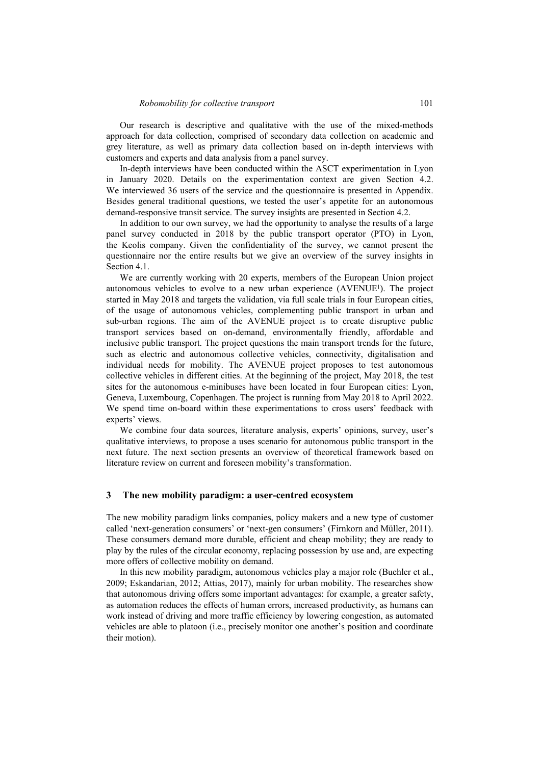Our research is descriptive and qualitative with the use of the mixed-methods approach for data collection, comprised of secondary data collection on academic and grey literature, as well as primary data collection based on in-depth interviews with customers and experts and data analysis from a panel survey.

In-depth interviews have been conducted within the ASCT experimentation in Lyon in January 2020. Details on the experimentation context are given Section 4.2. We interviewed 36 users of the service and the questionnaire is presented in Appendix. Besides general traditional questions, we tested the user's appetite for an autonomous demand-responsive transit service. The survey insights are presented in Section 4.2.

In addition to our own survey, we had the opportunity to analyse the results of a large panel survey conducted in 2018 by the public transport operator (PTO) in Lyon, the Keolis company. Given the confidentiality of the survey, we cannot present the questionnaire nor the entire results but we give an overview of the survey insights in Section 4.1.

We are currently working with 20 experts, members of the European Union project autonomous vehicles to evolve to a new urban experience  $(AVENUE<sup>1</sup>)$ . The project started in May 2018 and targets the validation, via full scale trials in four European cities, of the usage of autonomous vehicles, complementing public transport in urban and sub-urban regions. The aim of the AVENUE project is to create disruptive public transport services based on on-demand, environmentally friendly, affordable and inclusive public transport. The project questions the main transport trends for the future, such as electric and autonomous collective vehicles, connectivity, digitalisation and individual needs for mobility. The AVENUE project proposes to test autonomous collective vehicles in different cities. At the beginning of the project, May 2018, the test sites for the autonomous e-minibuses have been located in four European cities: Lyon, Geneva, Luxembourg, Copenhagen. The project is running from May 2018 to April 2022. We spend time on-board within these experimentations to cross users' feedback with experts' views.

We combine four data sources, literature analysis, experts' opinions, survey, user's qualitative interviews, to propose a uses scenario for autonomous public transport in the next future. The next section presents an overview of theoretical framework based on literature review on current and foreseen mobility's transformation.

#### **3 The new mobility paradigm: a user-centred ecosystem**

The new mobility paradigm links companies, policy makers and a new type of customer called 'next-generation consumers' or 'next-gen consumers' (Firnkorn and Müller, 2011). These consumers demand more durable, efficient and cheap mobility; they are ready to play by the rules of the circular economy, replacing possession by use and, are expecting more offers of collective mobility on demand.

In this new mobility paradigm, autonomous vehicles play a major role (Buehler et al., 2009; Eskandarian, 2012; Attias, 2017), mainly for urban mobility. The researches show that autonomous driving offers some important advantages: for example, a greater safety, as automation reduces the effects of human errors, increased productivity, as humans can work instead of driving and more traffic efficiency by lowering congestion, as automated vehicles are able to platoon (i.e., precisely monitor one another's position and coordinate their motion).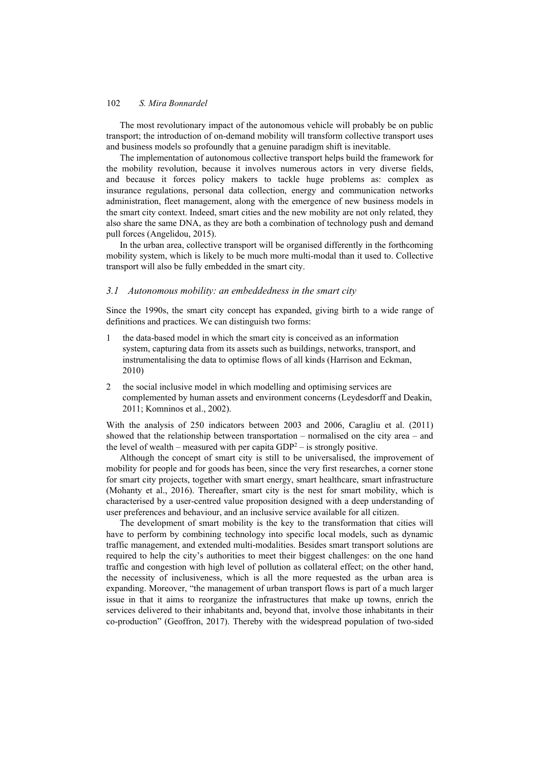The most revolutionary impact of the autonomous vehicle will probably be on public transport; the introduction of on-demand mobility will transform collective transport uses and business models so profoundly that a genuine paradigm shift is inevitable.

The implementation of autonomous collective transport helps build the framework for the mobility revolution, because it involves numerous actors in very diverse fields, and because it forces policy makers to tackle huge problems as: complex as insurance regulations, personal data collection, energy and communication networks administration, fleet management, along with the emergence of new business models in the smart city context. Indeed, smart cities and the new mobility are not only related, they also share the same DNA, as they are both a combination of technology push and demand pull forces (Angelidou, 2015).

In the urban area, collective transport will be organised differently in the forthcoming mobility system, which is likely to be much more multi-modal than it used to. Collective transport will also be fully embedded in the smart city.

### *3.1 Autonomous mobility: an embeddedness in the smart city*

Since the 1990s, the smart city concept has expanded, giving birth to a wide range of definitions and practices. We can distinguish two forms:

- 1 the data-based model in which the smart city is conceived as an information system, capturing data from its assets such as buildings, networks, transport, and instrumentalising the data to optimise flows of all kinds (Harrison and Eckman, 2010)
- 2 the social inclusive model in which modelling and optimising services are complemented by human assets and environment concerns (Leydesdorff and Deakin, 2011; Komninos et al., 2002).

With the analysis of 250 indicators between 2003 and 2006, Caragliu et al. (2011) showed that the relationship between transportation – normalised on the city area – and the level of wealth – measured with per capita  $GDP^2$  – is strongly positive.

Although the concept of smart city is still to be universalised, the improvement of mobility for people and for goods has been, since the very first researches, a corner stone for smart city projects, together with smart energy, smart healthcare, smart infrastructure (Mohanty et al., 2016). Thereafter, smart city is the nest for smart mobility, which is characterised by a user-centred value proposition designed with a deep understanding of user preferences and behaviour, and an inclusive service available for all citizen.

The development of smart mobility is the key to the transformation that cities will have to perform by combining technology into specific local models, such as dynamic traffic management, and extended multi-modalities. Besides smart transport solutions are required to help the city's authorities to meet their biggest challenges: on the one hand traffic and congestion with high level of pollution as collateral effect; on the other hand, the necessity of inclusiveness, which is all the more requested as the urban area is expanding. Moreover, "the management of urban transport flows is part of a much larger issue in that it aims to reorganize the infrastructures that make up towns, enrich the services delivered to their inhabitants and, beyond that, involve those inhabitants in their co-production" (Geoffron, 2017). Thereby with the widespread population of two-sided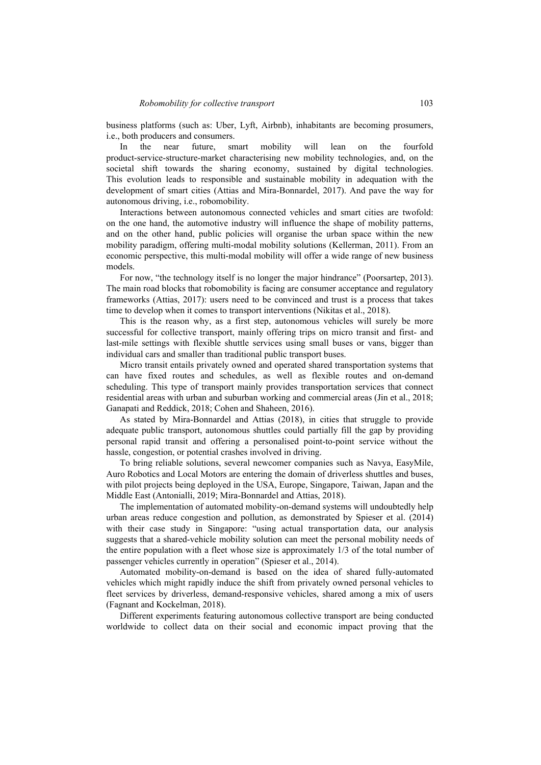business platforms (such as: Uber, Lyft, Airbnb), inhabitants are becoming prosumers, i.e., both producers and consumers.

In the near future, smart mobility will lean on the fourfold product-service-structure-market characterising new mobility technologies, and, on the societal shift towards the sharing economy, sustained by digital technologies. This evolution leads to responsible and sustainable mobility in adequation with the development of smart cities (Attias and Mira-Bonnardel, 2017). And pave the way for autonomous driving, i.e., robomobility.

Interactions between autonomous connected vehicles and smart cities are twofold: on the one hand, the automotive industry will influence the shape of mobility patterns, and on the other hand, public policies will organise the urban space within the new mobility paradigm, offering multi-modal mobility solutions (Kellerman, 2011). From an economic perspective, this multi-modal mobility will offer a wide range of new business models.

For now, "the technology itself is no longer the major hindrance" (Poorsartep, 2013). The main road blocks that robomobility is facing are consumer acceptance and regulatory frameworks (Attias, 2017): users need to be convinced and trust is a process that takes time to develop when it comes to transport interventions (Nikitas et al., 2018).

This is the reason why, as a first step, autonomous vehicles will surely be more successful for collective transport, mainly offering trips on micro transit and first- and last-mile settings with flexible shuttle services using small buses or vans, bigger than individual cars and smaller than traditional public transport buses.

Micro transit entails privately owned and operated shared transportation systems that can have fixed routes and schedules, as well as flexible routes and on-demand scheduling. This type of transport mainly provides transportation services that connect residential areas with urban and suburban working and commercial areas (Jin et al., 2018; Ganapati and Reddick, 2018; Cohen and Shaheen, 2016).

As stated by Mira-Bonnardel and Attias (2018), in cities that struggle to provide adequate public transport, autonomous shuttles could partially fill the gap by providing personal rapid transit and offering a personalised point-to-point service without the hassle, congestion, or potential crashes involved in driving.

To bring reliable solutions, several newcomer companies such as Navya, EasyMile, Auro Robotics and Local Motors are entering the domain of driverless shuttles and buses, with pilot projects being deployed in the USA, Europe, Singapore, Taiwan, Japan and the Middle East (Antonialli, 2019; Mira-Bonnardel and Attias, 2018).

The implementation of automated mobility-on-demand systems will undoubtedly help urban areas reduce congestion and pollution, as demonstrated by Spieser et al. (2014) with their case study in Singapore: "using actual transportation data, our analysis suggests that a shared-vehicle mobility solution can meet the personal mobility needs of the entire population with a fleet whose size is approximately 1/3 of the total number of passenger vehicles currently in operation" (Spieser et al., 2014).

Automated mobility-on-demand is based on the idea of shared fully-automated vehicles which might rapidly induce the shift from privately owned personal vehicles to fleet services by driverless, demand-responsive vehicles, shared among a mix of users (Fagnant and Kockelman, 2018).

Different experiments featuring autonomous collective transport are being conducted worldwide to collect data on their social and economic impact proving that the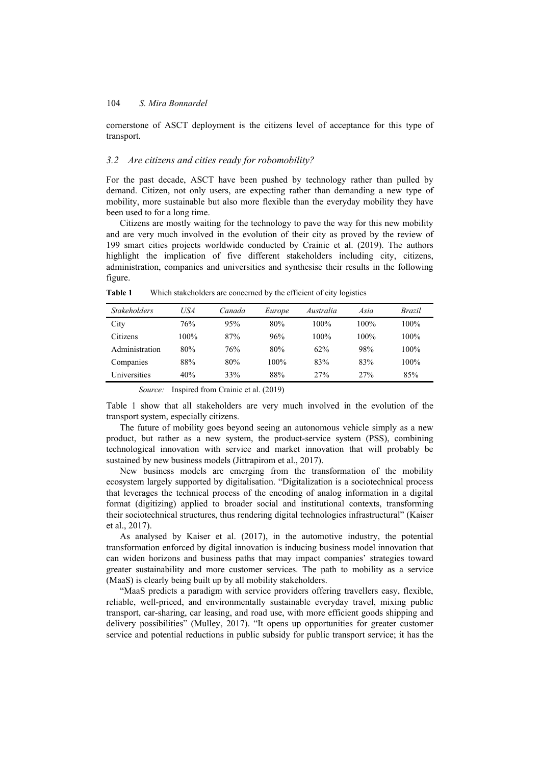cornerstone of ASCT deployment is the citizens level of acceptance for this type of transport.

## *3.2 Are citizens and cities ready for robomobility?*

For the past decade, ASCT have been pushed by technology rather than pulled by demand. Citizen, not only users, are expecting rather than demanding a new type of mobility, more sustainable but also more flexible than the everyday mobility they have been used to for a long time.

Citizens are mostly waiting for the technology to pave the way for this new mobility and are very much involved in the evolution of their city as proved by the review of 199 smart cities projects worldwide conducted by Crainic et al. (2019). The authors highlight the implication of five different stakeholders including city, citizens, administration, companies and universities and synthesise their results in the following figure.

| <b>Stakeholders</b> | USA     |        |         |           |         |         |
|---------------------|---------|--------|---------|-----------|---------|---------|
|                     |         | Canada | Europe  | Australia | Asia    | Brazil  |
| City                | 76%     | 95%    | 80%     | $100\%$   | $100\%$ | $100\%$ |
| Citizens            | $100\%$ | 87%    | 96%     | $100\%$   | $100\%$ | $100\%$ |
| Administration      | 80%     | 76%    | 80%     | 62%       | 98%     | $100\%$ |
| Companies           | 88%     | 80%    | $100\%$ | 83%       | 83%     | $100\%$ |
| Universities        | 40%     | 33%    | 88%     | 27%       | 27%     | 85%     |

**Table 1** Which stakeholders are concerned by the efficient of city logistics

*Source:* Inspired from Crainic et al. (2019)

Table 1 show that all stakeholders are very much involved in the evolution of the transport system, especially citizens.

The future of mobility goes beyond seeing an autonomous vehicle simply as a new product, but rather as a new system, the product-service system (PSS), combining technological innovation with service and market innovation that will probably be sustained by new business models (Jittrapirom et al., 2017).

New business models are emerging from the transformation of the mobility ecosystem largely supported by digitalisation. "Digitalization is a sociotechnical process that leverages the technical process of the encoding of analog information in a digital format (digitizing) applied to broader social and institutional contexts, transforming their sociotechnical structures, thus rendering digital technologies infrastructural" (Kaiser et al., 2017).

As analysed by Kaiser et al. (2017), in the automotive industry, the potential transformation enforced by digital innovation is inducing business model innovation that can widen horizons and business paths that may impact companies' strategies toward greater sustainability and more customer services. The path to mobility as a service (MaaS) is clearly being built up by all mobility stakeholders.

"MaaS predicts a paradigm with service providers offering travellers easy, flexible, reliable, well-priced, and environmentally sustainable everyday travel, mixing public transport, car-sharing, car leasing, and road use, with more efficient goods shipping and delivery possibilities" (Mulley, 2017). "It opens up opportunities for greater customer service and potential reductions in public subsidy for public transport service; it has the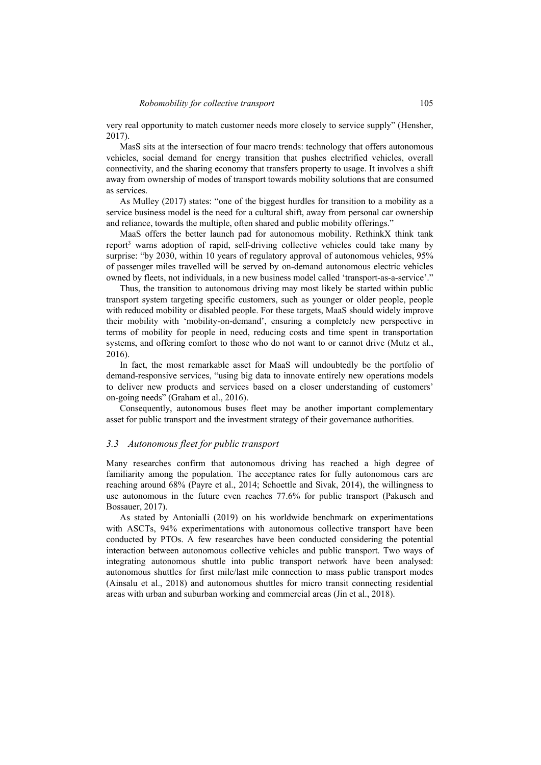very real opportunity to match customer needs more closely to service supply" (Hensher, 2017).

MasS sits at the intersection of four macro trends: technology that offers autonomous vehicles, social demand for energy transition that pushes electrified vehicles, overall connectivity, and the sharing economy that transfers property to usage. It involves a shift away from ownership of modes of transport towards mobility solutions that are consumed as services.

As Mulley (2017) states: "one of the biggest hurdles for transition to a mobility as a service business model is the need for a cultural shift, away from personal car ownership and reliance, towards the multiple, often shared and public mobility offerings."

MaaS offers the better launch pad for autonomous mobility. RethinkX think tank report3 warns adoption of rapid, self-driving collective vehicles could take many by surprise: "by 2030, within 10 years of regulatory approval of autonomous vehicles, 95% of passenger miles travelled will be served by on-demand autonomous electric vehicles owned by fleets, not individuals, in a new business model called 'transport-as-a-service'."

Thus, the transition to autonomous driving may most likely be started within public transport system targeting specific customers, such as younger or older people, people with reduced mobility or disabled people. For these targets, MaaS should widely improve their mobility with 'mobility-on-demand', ensuring a completely new perspective in terms of mobility for people in need, reducing costs and time spent in transportation systems, and offering comfort to those who do not want to or cannot drive (Mutz et al., 2016).

In fact, the most remarkable asset for MaaS will undoubtedly be the portfolio of demand-responsive services, "using big data to innovate entirely new operations models to deliver new products and services based on a closer understanding of customers' on-going needs" (Graham et al., 2016).

Consequently, autonomous buses fleet may be another important complementary asset for public transport and the investment strategy of their governance authorities.

#### *3.3 Autonomous fleet for public transport*

Many researches confirm that autonomous driving has reached a high degree of familiarity among the population. The acceptance rates for fully autonomous cars are reaching around 68% (Payre et al., 2014; Schoettle and Sivak, 2014), the willingness to use autonomous in the future even reaches 77.6% for public transport (Pakusch and Bossauer, 2017).

As stated by Antonialli (2019) on his worldwide benchmark on experimentations with ASCTs, 94% experimentations with autonomous collective transport have been conducted by PTOs. A few researches have been conducted considering the potential interaction between autonomous collective vehicles and public transport. Two ways of integrating autonomous shuttle into public transport network have been analysed: autonomous shuttles for first mile/last mile connection to mass public transport modes (Ainsalu et al., 2018) and autonomous shuttles for micro transit connecting residential areas with urban and suburban working and commercial areas (Jin et al., 2018).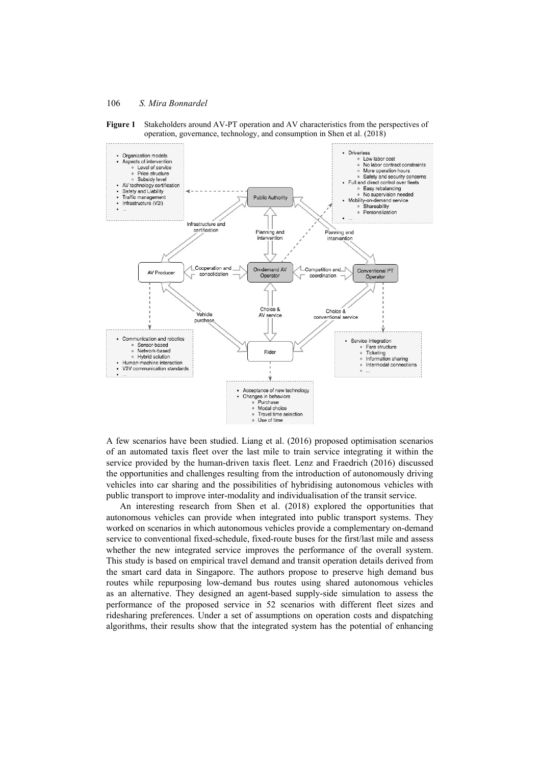



A few scenarios have been studied. Liang et al. (2016) proposed optimisation scenarios of an automated taxis fleet over the last mile to train service integrating it within the service provided by the human-driven taxis fleet. Lenz and Fraedrich (2016) discussed the opportunities and challenges resulting from the introduction of autonomously driving vehicles into car sharing and the possibilities of hybridising autonomous vehicles with public transport to improve inter-modality and individualisation of the transit service.

An interesting research from Shen et al. (2018) explored the opportunities that autonomous vehicles can provide when integrated into public transport systems. They worked on scenarios in which autonomous vehicles provide a complementary on-demand service to conventional fixed-schedule, fixed-route buses for the first/last mile and assess whether the new integrated service improves the performance of the overall system. This study is based on empirical travel demand and transit operation details derived from the smart card data in Singapore. The authors propose to preserve high demand bus routes while repurposing low-demand bus routes using shared autonomous vehicles as an alternative. They designed an agent-based supply-side simulation to assess the performance of the proposed service in 52 scenarios with different fleet sizes and ridesharing preferences. Under a set of assumptions on operation costs and dispatching algorithms, their results show that the integrated system has the potential of enhancing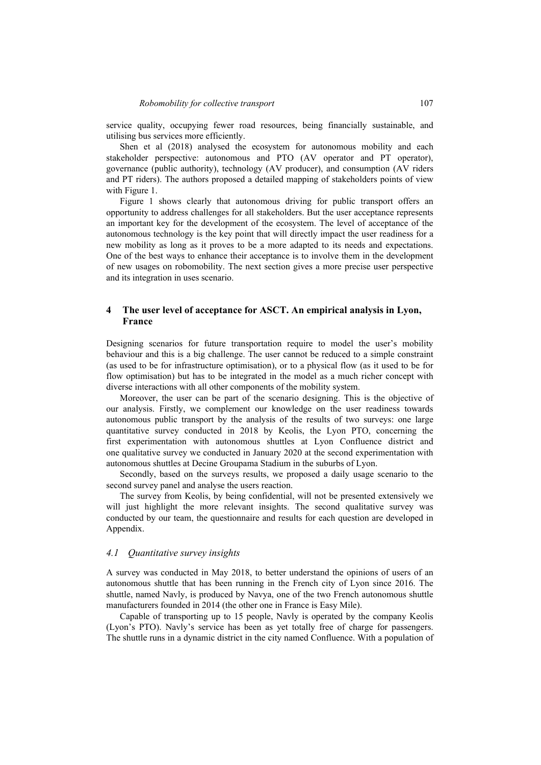service quality, occupying fewer road resources, being financially sustainable, and utilising bus services more efficiently.

Shen et al (2018) analysed the ecosystem for autonomous mobility and each stakeholder perspective: autonomous and PTO (AV operator and PT operator), governance (public authority), technology (AV producer), and consumption (AV riders and PT riders). The authors proposed a detailed mapping of stakeholders points of view with Figure 1.

Figure 1 shows clearly that autonomous driving for public transport offers an opportunity to address challenges for all stakeholders. But the user acceptance represents an important key for the development of the ecosystem. The level of acceptance of the autonomous technology is the key point that will directly impact the user readiness for a new mobility as long as it proves to be a more adapted to its needs and expectations. One of the best ways to enhance their acceptance is to involve them in the development of new usages on robomobility. The next section gives a more precise user perspective and its integration in uses scenario.

## **4 The user level of acceptance for ASCT. An empirical analysis in Lyon, France**

Designing scenarios for future transportation require to model the user's mobility behaviour and this is a big challenge. The user cannot be reduced to a simple constraint (as used to be for infrastructure optimisation), or to a physical flow (as it used to be for flow optimisation) but has to be integrated in the model as a much richer concept with diverse interactions with all other components of the mobility system.

Moreover, the user can be part of the scenario designing. This is the objective of our analysis. Firstly, we complement our knowledge on the user readiness towards autonomous public transport by the analysis of the results of two surveys: one large quantitative survey conducted in 2018 by Keolis, the Lyon PTO, concerning the first experimentation with autonomous shuttles at Lyon Confluence district and one qualitative survey we conducted in January 2020 at the second experimentation with autonomous shuttles at Decine Groupama Stadium in the suburbs of Lyon.

Secondly, based on the surveys results, we proposed a daily usage scenario to the second survey panel and analyse the users reaction.

The survey from Keolis, by being confidential, will not be presented extensively we will just highlight the more relevant insights. The second qualitative survey was conducted by our team, the questionnaire and results for each question are developed in Appendix.

#### *4.1 Quantitative survey insights*

A survey was conducted in May 2018, to better understand the opinions of users of an autonomous shuttle that has been running in the French city of Lyon since 2016. The shuttle, named Navly, is produced by Navya, one of the two French autonomous shuttle manufacturers founded in 2014 (the other one in France is Easy Mile).

Capable of transporting up to 15 people, Navly is operated by the company Keolis (Lyon's PTO). Navly's service has been as yet totally free of charge for passengers. The shuttle runs in a dynamic district in the city named Confluence. With a population of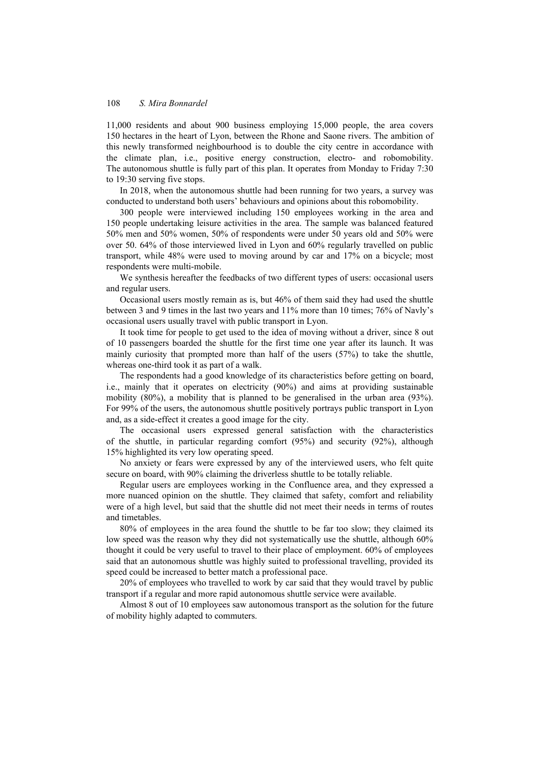11,000 residents and about 900 business employing 15,000 people, the area covers 150 hectares in the heart of Lyon, between the Rhone and Saone rivers. The ambition of this newly transformed neighbourhood is to double the city centre in accordance with the climate plan, i.e., positive energy construction, electro- and robomobility. The autonomous shuttle is fully part of this plan. It operates from Monday to Friday 7:30 to 19:30 serving five stops.

In 2018, when the autonomous shuttle had been running for two years, a survey was conducted to understand both users' behaviours and opinions about this robomobility.

300 people were interviewed including 150 employees working in the area and 150 people undertaking leisure activities in the area. The sample was balanced featured 50% men and 50% women, 50% of respondents were under 50 years old and 50% were over 50. 64% of those interviewed lived in Lyon and 60% regularly travelled on public transport, while 48% were used to moving around by car and 17% on a bicycle; most respondents were multi-mobile.

We synthesis hereafter the feedbacks of two different types of users: occasional users and regular users.

Occasional users mostly remain as is, but 46% of them said they had used the shuttle between 3 and 9 times in the last two years and 11% more than 10 times; 76% of Navly's occasional users usually travel with public transport in Lyon.

It took time for people to get used to the idea of moving without a driver, since 8 out of 10 passengers boarded the shuttle for the first time one year after its launch. It was mainly curiosity that prompted more than half of the users (57%) to take the shuttle, whereas one-third took it as part of a walk.

The respondents had a good knowledge of its characteristics before getting on board, i.e., mainly that it operates on electricity (90%) and aims at providing sustainable mobility (80%), a mobility that is planned to be generalised in the urban area (93%). For 99% of the users, the autonomous shuttle positively portrays public transport in Lyon and, as a side-effect it creates a good image for the city.

The occasional users expressed general satisfaction with the characteristics of the shuttle, in particular regarding comfort (95%) and security (92%), although 15% highlighted its very low operating speed.

No anxiety or fears were expressed by any of the interviewed users, who felt quite secure on board, with 90% claiming the driverless shuttle to be totally reliable.

Regular users are employees working in the Confluence area, and they expressed a more nuanced opinion on the shuttle. They claimed that safety, comfort and reliability were of a high level, but said that the shuttle did not meet their needs in terms of routes and timetables.

80% of employees in the area found the shuttle to be far too slow; they claimed its low speed was the reason why they did not systematically use the shuttle, although 60% thought it could be very useful to travel to their place of employment. 60% of employees said that an autonomous shuttle was highly suited to professional travelling, provided its speed could be increased to better match a professional pace.

20% of employees who travelled to work by car said that they would travel by public transport if a regular and more rapid autonomous shuttle service were available.

Almost 8 out of 10 employees saw autonomous transport as the solution for the future of mobility highly adapted to commuters.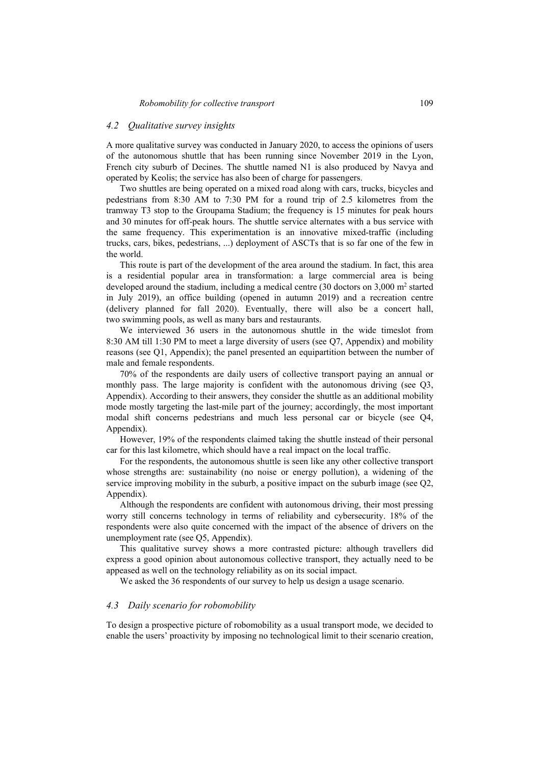### *4.2 Qualitative survey insights*

A more qualitative survey was conducted in January 2020, to access the opinions of users of the autonomous shuttle that has been running since November 2019 in the Lyon, French city suburb of Decines. The shuttle named N1 is also produced by Navya and operated by Keolis; the service has also been of charge for passengers.

Two shuttles are being operated on a mixed road along with cars, trucks, bicycles and pedestrians from 8:30 AM to 7:30 PM for a round trip of 2.5 kilometres from the tramway T3 stop to the Groupama Stadium; the frequency is 15 minutes for peak hours and 30 minutes for off-peak hours. The shuttle service alternates with a bus service with the same frequency. This experimentation is an innovative mixed-traffic (including trucks, cars, bikes, pedestrians, ...) deployment of ASCTs that is so far one of the few in the world.

This route is part of the development of the area around the stadium. In fact, this area is a residential popular area in transformation: a large commercial area is being developed around the stadium, including a medical centre  $(30 \text{ doctors on } 3,000 \text{ m}^2 \text{ started})$ in July 2019), an office building (opened in autumn 2019) and a recreation centre (delivery planned for fall 2020). Eventually, there will also be a concert hall, two swimming pools, as well as many bars and restaurants.

We interviewed 36 users in the autonomous shuttle in the wide timeslot from 8:30 AM till 1:30 PM to meet a large diversity of users (see Q7, Appendix) and mobility reasons (see Q1, Appendix); the panel presented an equipartition between the number of male and female respondents.

70% of the respondents are daily users of collective transport paying an annual or monthly pass. The large majority is confident with the autonomous driving (see Q3, Appendix). According to their answers, they consider the shuttle as an additional mobility mode mostly targeting the last-mile part of the journey; accordingly, the most important modal shift concerns pedestrians and much less personal car or bicycle (see Q4, Appendix).

However, 19% of the respondents claimed taking the shuttle instead of their personal car for this last kilometre, which should have a real impact on the local traffic.

For the respondents, the autonomous shuttle is seen like any other collective transport whose strengths are: sustainability (no noise or energy pollution), a widening of the service improving mobility in the suburb, a positive impact on the suburb image (see Q2, Appendix).

Although the respondents are confident with autonomous driving, their most pressing worry still concerns technology in terms of reliability and cybersecurity. 18% of the respondents were also quite concerned with the impact of the absence of drivers on the unemployment rate (see Q5, Appendix).

This qualitative survey shows a more contrasted picture: although travellers did express a good opinion about autonomous collective transport, they actually need to be appeased as well on the technology reliability as on its social impact.

We asked the 36 respondents of our survey to help us design a usage scenario.

#### *4.3 Daily scenario for robomobility*

To design a prospective picture of robomobility as a usual transport mode, we decided to enable the users' proactivity by imposing no technological limit to their scenario creation,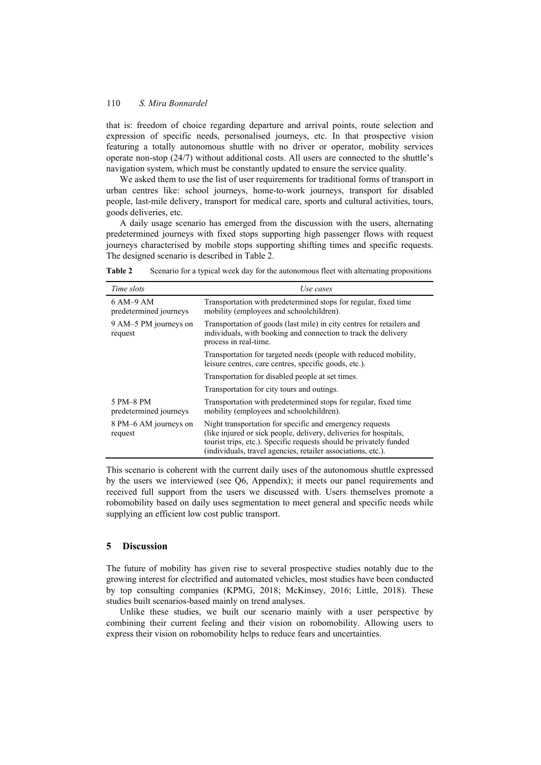that is: freedom of choice regarding departure and arrival points, route selection and expression of specific needs, personalised journeys, etc. In that prospective vision featuring a totally autonomous shuttle with no driver or operator, mobility services operate non-stop (24/7) without additional costs. All users are connected to the shuttle's navigation system, which must be constantly updated to ensure the service quality.

We asked them to use the list of user requirements for traditional forms of transport in urban centres like: school journeys, home-to-work journeys, transport for disabled people, last-mile delivery, transport for medical care, sports and cultural activities, tours, goods deliveries, etc.

A daily usage scenario has emerged from the discussion with the users, alternating predetermined journeys with fixed stops supporting high passenger flows with request journeys characterised by mobile stops supporting shifting times and specific requests. The designed scenario is described in Table 2.

| Time slots                          | Use cases                                                                                                                                                                                                                                                           |
|-------------------------------------|---------------------------------------------------------------------------------------------------------------------------------------------------------------------------------------------------------------------------------------------------------------------|
| 6 AM-9 AM<br>predetermined journeys | Transportation with predetermined stops for regular, fixed time<br>mobility (employees and schoolchildren).                                                                                                                                                         |
| 9 AM-5 PM journeys on<br>request    | Transportation of goods (last mile) in city centres for retailers and<br>individuals, with booking and connection to track the delivery<br>process in real-time.                                                                                                    |
|                                     | Transportation for targeted needs (people with reduced mobility,<br>leisure centres, care centres, specific goods, etc.).                                                                                                                                           |
|                                     | Transportation for disabled people at set times.                                                                                                                                                                                                                    |
|                                     | Transportation for city tours and outings.                                                                                                                                                                                                                          |
| 5 PM-8 PM<br>predetermined journeys | Transportation with predetermined stops for regular, fixed time<br>mobility (employees and schoolchildren).                                                                                                                                                         |
| 8 PM–6 AM journeys on<br>request    | Night transportation for specific and emergency requests<br>(like injured or sick people, delivery, deliveries for hospitals,<br>tourist trips, etc.). Specific requests should be privately funded<br>(individuals, travel agencies, retailer associations, etc.). |

**Table 2** Scenario for a typical week day for the autonomous fleet with alternating propositions

This scenario is coherent with the current daily uses of the autonomous shuttle expressed by the users we interviewed (see Q6, Appendix); it meets our panel requirements and received full support from the users we discussed with. Users themselves promote a robomobility based on daily uses segmentation to meet general and specific needs while supplying an efficient low cost public transport.

## **5 Discussion**

The future of mobility has given rise to several prospective studies notably due to the growing interest for electrified and automated vehicles, most studies have been conducted by top consulting companies (KPMG, 2018; McKinsey, 2016; Little, 2018). These studies built scenarios-based mainly on trend analyses.

Unlike these studies, we built our scenario mainly with a user perspective by combining their current feeling and their vision on robomobility. Allowing users to express their vision on robomobility helps to reduce fears and uncertainties.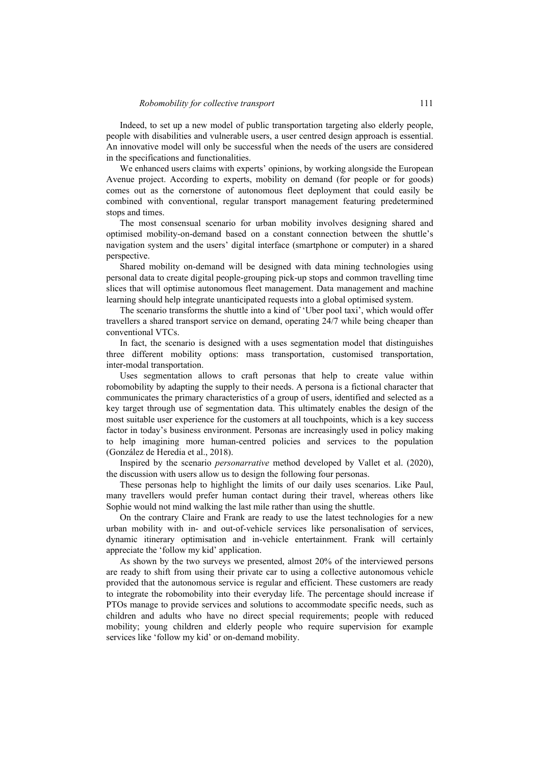Indeed, to set up a new model of public transportation targeting also elderly people, people with disabilities and vulnerable users, a user centred design approach is essential. An innovative model will only be successful when the needs of the users are considered in the specifications and functionalities.

We enhanced users claims with experts' opinions, by working alongside the European Avenue project. According to experts, mobility on demand (for people or for goods) comes out as the cornerstone of autonomous fleet deployment that could easily be combined with conventional, regular transport management featuring predetermined stops and times.

The most consensual scenario for urban mobility involves designing shared and optimised mobility-on-demand based on a constant connection between the shuttle's navigation system and the users' digital interface (smartphone or computer) in a shared perspective.

Shared mobility on-demand will be designed with data mining technologies using personal data to create digital people-grouping pick-up stops and common travelling time slices that will optimise autonomous fleet management. Data management and machine learning should help integrate unanticipated requests into a global optimised system.

The scenario transforms the shuttle into a kind of 'Uber pool taxi', which would offer travellers a shared transport service on demand, operating 24/7 while being cheaper than conventional VTCs.

In fact, the scenario is designed with a uses segmentation model that distinguishes three different mobility options: mass transportation, customised transportation, inter-modal transportation.

Uses segmentation allows to craft personas that help to create value within robomobility by adapting the supply to their needs. A persona is a fictional character that communicates the primary characteristics of a group of users, identified and selected as a key target through use of segmentation data. This ultimately enables the design of the most suitable user experience for the customers at all touchpoints, which is a key success factor in today's business environment. Personas are increasingly used in policy making to help imagining more human-centred policies and services to the population (González de Heredia et al., 2018).

Inspired by the scenario *personarrative* method developed by Vallet et al. (2020), the discussion with users allow us to design the following four personas.

These personas help to highlight the limits of our daily uses scenarios. Like Paul, many travellers would prefer human contact during their travel, whereas others like Sophie would not mind walking the last mile rather than using the shuttle.

On the contrary Claire and Frank are ready to use the latest technologies for a new urban mobility with in- and out-of-vehicle services like personalisation of services, dynamic itinerary optimisation and in-vehicle entertainment. Frank will certainly appreciate the 'follow my kid' application.

As shown by the two surveys we presented, almost 20% of the interviewed persons are ready to shift from using their private car to using a collective autonomous vehicle provided that the autonomous service is regular and efficient. These customers are ready to integrate the robomobility into their everyday life. The percentage should increase if PTOs manage to provide services and solutions to accommodate specific needs, such as children and adults who have no direct special requirements; people with reduced mobility; young children and elderly people who require supervision for example services like 'follow my kid' or on-demand mobility.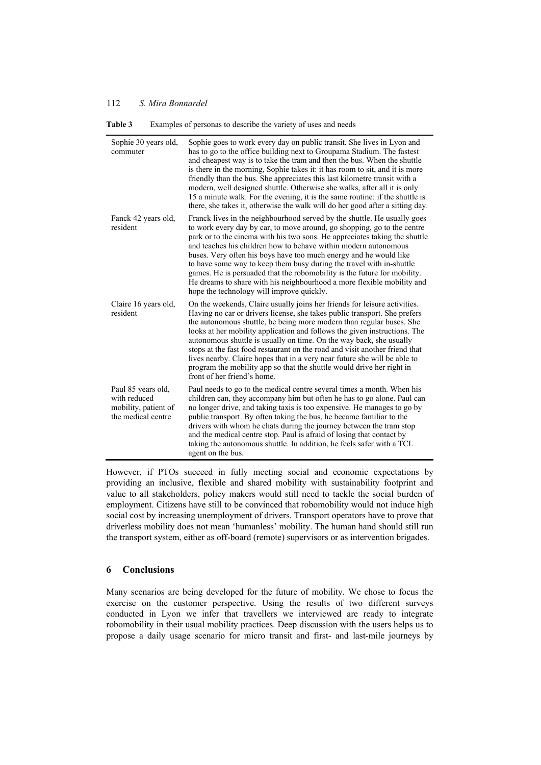| Sophie 30 years old,<br>commuter                                                 | Sophie goes to work every day on public transit. She lives in Lyon and<br>has to go to the office building next to Groupama Stadium. The fastest<br>and cheapest way is to take the tram and then the bus. When the shuttle<br>is there in the morning, Sophie takes it: it has room to sit, and it is more<br>friendly than the bus. She appreciates this last kilometre transit with a<br>modern, well designed shuttle. Otherwise she walks, after all it is only<br>15 a minute walk. For the evening, it is the same routine: if the shuttle is<br>there, she takes it, otherwise the walk will do her good after a sitting day.                  |
|----------------------------------------------------------------------------------|--------------------------------------------------------------------------------------------------------------------------------------------------------------------------------------------------------------------------------------------------------------------------------------------------------------------------------------------------------------------------------------------------------------------------------------------------------------------------------------------------------------------------------------------------------------------------------------------------------------------------------------------------------|
| Fanck 42 years old,<br>resident                                                  | Franck lives in the neighbourhood served by the shuttle. He usually goes<br>to work every day by car, to move around, go shopping, go to the centre<br>park or to the cinema with his two sons. He appreciates taking the shuttle<br>and teaches his children how to behave within modern autonomous<br>buses. Very often his boys have too much energy and he would like<br>to have some way to keep them busy during the travel with in-shuttle<br>games. He is persuaded that the robomobility is the future for mobility.<br>He dreams to share with his neighbourhood a more flexible mobility and<br>hope the technology will improve quickly.   |
| Claire 16 years old,<br>resident                                                 | On the weekends, Claire usually joins her friends for leisure activities.<br>Having no car or drivers license, she takes public transport. She prefers<br>the autonomous shuttle, be being more modern than regular buses. She<br>looks at her mobility application and follows the given instructions. The<br>autonomous shuttle is usually on time. On the way back, she usually<br>stops at the fast food restaurant on the road and visit another friend that<br>lives nearby. Claire hopes that in a very near future she will be able to<br>program the mobility app so that the shuttle would drive her right in<br>front of her friend's home. |
| Paul 85 years old,<br>with reduced<br>mobility, patient of<br>the medical centre | Paul needs to go to the medical centre several times a month. When his<br>children can, they accompany him but often he has to go alone. Paul can<br>no longer drive, and taking taxis is too expensive. He manages to go by<br>public transport. By often taking the bus, he became familiar to the<br>drivers with whom he chats during the journey between the tram stop<br>and the medical centre stop. Paul is afraid of losing that contact by<br>taking the autonomous shuttle. In addition, he feels safer with a TCL<br>agent on the bus.                                                                                                     |

**Table 3** Examples of personas to describe the variety of uses and needs

However, if PTOs succeed in fully meeting social and economic expectations by providing an inclusive, flexible and shared mobility with sustainability footprint and value to all stakeholders, policy makers would still need to tackle the social burden of employment. Citizens have still to be convinced that robomobility would not induce high social cost by increasing unemployment of drivers. Transport operators have to prove that driverless mobility does not mean 'humanless' mobility. The human hand should still run the transport system, either as off-board (remote) supervisors or as intervention brigades.

## **6 Conclusions**

Many scenarios are being developed for the future of mobility. We chose to focus the exercise on the customer perspective. Using the results of two different surveys conducted in Lyon we infer that travellers we interviewed are ready to integrate robomobility in their usual mobility practices. Deep discussion with the users helps us to propose a daily usage scenario for micro transit and first- and last-mile journeys by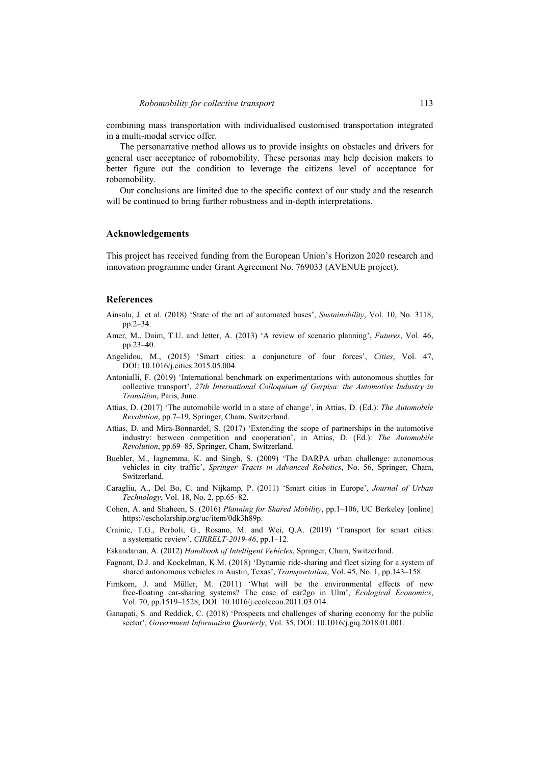combining mass transportation with individualised customised transportation integrated in a multi-modal service offer.

The personarrative method allows us to provide insights on obstacles and drivers for general user acceptance of robomobility. These personas may help decision makers to better figure out the condition to leverage the citizens level of acceptance for robomobility.

Our conclusions are limited due to the specific context of our study and the research will be continued to bring further robustness and in-depth interpretations.

#### **Acknowledgements**

This project has received funding from the European Union's Horizon 2020 research and innovation programme under Grant Agreement No. 769033 (AVENUE project).

## **References**

- Ainsalu, J. et al. (2018) 'State of the art of automated buses', *Sustainability*, Vol. 10, No. 3118, pp.2–34.
- Amer, M., Daim, T.U. and Jetter, A. (2013) 'A review of scenario planning', *Futures*, Vol. 46, pp.23–40.
- Angelidou, M., (2015) 'Smart cities: a conjuncture of four forces', *Cities*, Vol. 47, DOI: 10.1016/j.cities.2015.05.004.
- Antonialli, F. (2019) 'International benchmark on experimentations with autonomous shuttles for collective transport', *27th International Colloquium of Gerpisa: the Automotive Industry in Transition*, Paris, June.
- Attias, D. (2017) 'The automobile world in a state of change', in Attias, D. (Ed.): *The Automobile Revolution*, pp.7–19, Springer, Cham, Switzerland.
- Attias, D. and Mira-Bonnardel, S. (2017) 'Extending the scope of partnerships in the automotive industry: between competition and cooperation', in Attias, D. (Ed.): *The Automobile Revolution*, pp.69–85, Springer, Cham, Switzerland.
- Buehler, M., Iagnemma, K. and Singh, S. (2009) 'The DARPA urban challenge: autonomous vehicles in city traffic', *Springer Tracts in Advanced Robotics*, No. 56, Springer, Cham, Switzerland.
- Caragliu, A., Del Bo, C. and Nijkamp, P. (2011) 'Smart cities in Europe', *Journal of Urban Technology*, Vol. 18, No. 2, pp.65–82.
- Cohen, A. and Shaheen, S. (2016) *Planning for Shared Mobility*, pp.1–106, UC Berkeley [online] https://escholarship.org/uc/item/0dk3h89p.
- Crainic, T.G., Perboli, G., Rosano, M. and Wei, Q.A. (2019) 'Transport for smart cities: a systematic review', *CIRRELT-2019-46*, pp.1–12.
- Eskandarian, A. (2012) *Handbook of Intelligent Vehicles*, Springer, Cham, Switzerland.
- Fagnant, D.J. and Kockelman, K.M. (2018) 'Dynamic ride-sharing and fleet sizing for a system of shared autonomous vehicles in Austin, Texas', *Transportation*, Vol. 45, No. 1, pp.143–158.
- Firnkorn, J. and Müller, M. (2011) 'What will be the environmental effects of new free-floating car-sharing systems? The case of car2go in Ulm', *Ecological Economics*, Vol. 70, pp.1519–1528, DOI: 10.1016/j.ecolecon.2011.03.014.
- Ganapati, S. and Reddick, C. (2018) 'Prospects and challenges of sharing economy for the public sector', *Government Information Quarterly*, Vol. 35, DOI: 10.1016/j.giq.2018.01.001.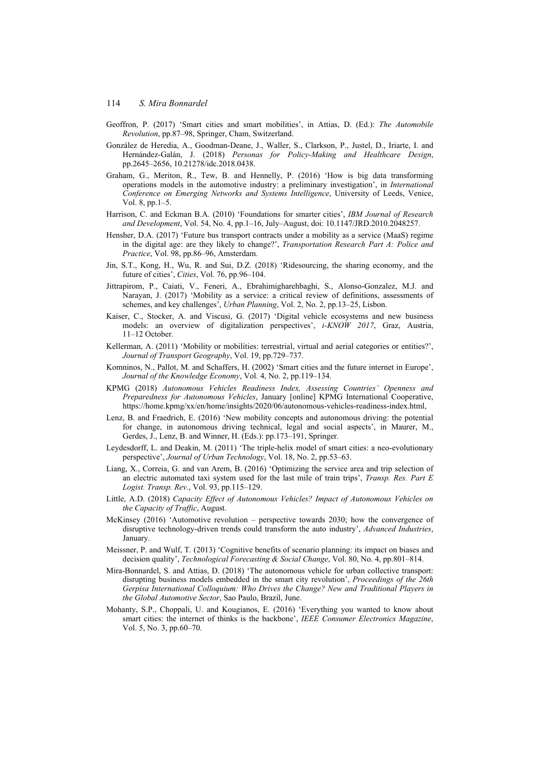- Geoffron, P. (2017) 'Smart cities and smart mobilities', in Attias, D. (Ed.): *The Automobile Revolution*, pp.87–98, Springer, Cham, Switzerland.
- González de Heredia, A., Goodman-Deane, J., Waller, S., Clarkson, P., Justel, D., Iriarte, I. and Hernández-Galán, J. (2018) *Personas for Policy-Making and Healthcare Design*, pp.2645–2656, 10.21278/idc.2018.0438.
- Graham, G., Meriton, R., Tew, B. and Hennelly, P. (2016) 'How is big data transforming operations models in the automotive industry: a preliminary investigation', in *International Conference on Emerging Networks and Systems Intelligence*, University of Leeds, Venice, Vol. 8, pp.1–5.
- Harrison, C. and Eckman B.A. (2010) 'Foundations for smarter cities', *IBM Journal of Research and Development*, Vol. 54, No. 4, pp.1–16, July–August, doi: 10.1147/JRD.2010.2048257.
- Hensher, D.A. (2017) 'Future bus transport contracts under a mobility as a service (MaaS) regime in the digital age: are they likely to change?', *Transportation Research Part A: Police and Practice*, Vol. 98, pp.86–96, Amsterdam.
- Jin, S.T., Kong, H., Wu, R. and Sui, D.Z. (2018) 'Ridesourcing, the sharing economy, and the future of cities', *Cities*, Vol. 76, pp.96–104.
- Jittrapirom, P., Caiati, V., Feneri, A., Ebrahimigharehbaghi, S., Alonso-Gonzalez, M.J. and Narayan, J. (2017) 'Mobility as a service: a critical review of definitions, assessments of schemes, and key challenges', *Urban Planning*, Vol. 2, No. 2, pp.13–25, Lisbon.
- Kaiser, C., Stocker, A. and Viscusi, G. (2017) 'Digital vehicle ecosystems and new business models: an overview of digitalization perspectives', *i-KNOW 2017*, Graz, Austria, 11–12 October.
- Kellerman, A. (2011) 'Mobility or mobilities: terrestrial, virtual and aerial categories or entities?', *Journal of Transport Geography*, Vol. 19, pp.729–737.
- Komninos, N., Pallot, M. and Schaffers, H. (2002) 'Smart cities and the future internet in Europe', *Journal of the Knowledge Economy*, Vol. 4, No. 2, pp.119–134.
- KPMG (2018) *Autonomous Vehicles Readiness Index, Assessing Countries' Openness and Preparedness for Autonomous Vehicles*, January [online] KPMG International Cooperative, https://home.kpmg/xx/en/home/insights/2020/06/autonomous-vehicles-readiness-index.html,
- Lenz, B. and Fraedrich, E. (2016) 'New mobility concepts and autonomous driving: the potential for change, in autonomous driving technical, legal and social aspects', in Maurer, M., Gerdes, J., Lenz, B. and Winner, H. (Eds.): pp.173–191, Springer.
- Leydesdorff, L. and Deakin, M. (2011) 'The triple-helix model of smart cities: a neo-evolutionary perspective', *Journal of Urban Technology*, Vol. 18, No. 2, pp.53–63.
- Liang, X., Correia, G. and van Arem, B. (2016) 'Optimizing the service area and trip selection of an electric automated taxi system used for the last mile of train trips', *Transp. Res. Part E Logist. Transp. Rev.*, Vol. 93, pp.115–129.
- Little, A.D. (2018) *Capacity Effect of Autonomous Vehicles? Impact of Autonomous Vehicles on the Capacity of Traffic*, August.
- McKinsey (2016) 'Automotive revolution perspective towards 2030; how the convergence of disruptive technology-driven trends could transform the auto industry', *Advanced Industries*, January.
- Meissner, P. and Wulf, T. (2013) 'Cognitive benefits of scenario planning: its impact on biases and decision quality', *Technological Forecasting & Social Change*, Vol. 80, No. 4, pp.801–814.
- Mira-Bonnardel, S. and Attias, D. (2018) 'The autonomous vehicle for urban collective transport: disrupting business models embedded in the smart city revolution', *Proceedings of the 26th Gerpisa International Colloquium: Who Drives the Change? New and Traditional Players in the Global Automotive Sector*, Sao Paulo, Brazil, June.
- Mohanty, S.P., Choppali, U. and Kougianos, E. (2016) 'Everything you wanted to know about smart cities: the internet of thinks is the backbone', *IEEE Consumer Electronics Magazine*, Vol. 5, No. 3, pp.60–70.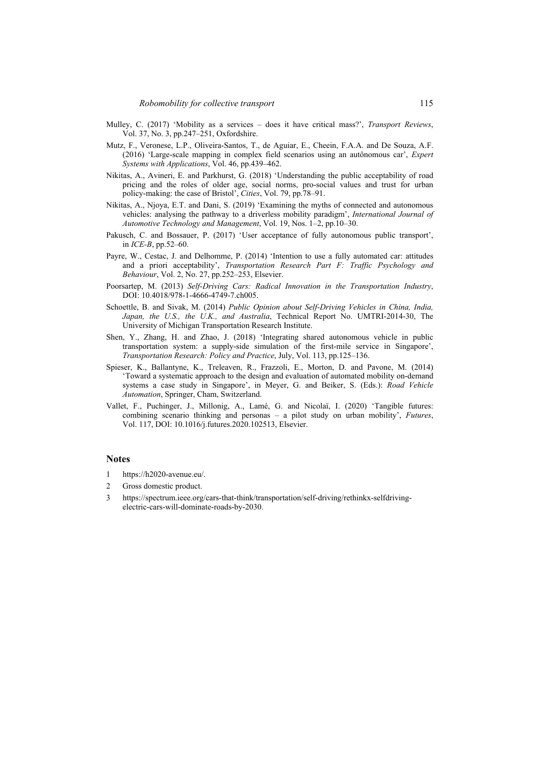- Mulley, C. (2017) 'Mobility as a services does it have critical mass?', *Transport Reviews*, Vol. 37, No. 3, pp.247–251, Oxfordshire.
- Mutz, F., Veronese, L.P., Oliveira-Santos, T., de Aguiar, E., Cheein, F.A.A. and De Souza, A.F. (2016) 'Large-scale mapping in complex field scenarios using an autônomous car', *Expert Systems with Applications*, Vol. 46, pp.439–462.
- Nikitas, A., Avineri, E. and Parkhurst, G. (2018) 'Understanding the public acceptability of road pricing and the roles of older age, social norms, pro-social values and trust for urban policy-making: the case of Bristol', *Cities*, Vol. 79, pp.78–91.
- Nikitas, A., Njoya, E.T. and Dani, S. (2019) 'Examining the myths of connected and autonomous vehicles: analysing the pathway to a driverless mobility paradigm', *International Journal of Automotive Technology and Management*, Vol. 19, Nos. 1–2, pp.10–30.
- Pakusch, C. and Bossauer, P. (2017) 'User acceptance of fully autonomous public transport', in *ICE-B*, pp.52–60.
- Payre, W., Cestac, J. and Delhomme, P. (2014) 'Intention to use a fully automated car: attitudes and a priori acceptability', *Transportation Research Part F: Traffic Psychology and Behaviour*, Vol. 2, No. 27, pp.252–253, Elsevier.
- Poorsartep, M. (2013) *Self-Driving Cars: Radical Innovation in the Transportation Industry*, DOI: 10.4018/978-1-4666-4749-7.ch005.
- Schoettle, B. and Sivak, M. (2014) *Public Opinion about Self-Driving Vehicles in China, India, Japan, the U.S., the U.K., and Australia*, Technical Report No. UMTRI-2014-30, The University of Michigan Transportation Research Institute.
- Shen, Y., Zhang, H. and Zhao, J. (2018) 'Integrating shared autonomous vehicle in public transportation system: a supply-side simulation of the first-mile service in Singapore', *Transportation Research: Policy and Practice*, July, Vol. 113, pp.125–136.
- Spieser, K., Ballantyne, K., Treleaven, R., Frazzoli, E., Morton, D. and Pavone, M. (2014) 'Toward a systematic approach to the design and evaluation of automated mobility on-demand systems a case study in Singapore', in Meyer, G. and Beiker, S. (Eds.): *Road Vehicle Automation*, Springer, Cham, Switzerland.
- Vallet, F., Puchinger, J., Millonig, A., Lamé, G. and Nicolaï, I. (2020) 'Tangible futures: combining scenario thinking and personas – a pilot study on urban mobility', *Futures*, Vol. 117, DOI: 10.1016/j.futures.2020.102513, Elsevier.

### **Notes**

- 1 https://h2020-avenue.eu/.
- 2 Gross domestic product.
- 3 https://spectrum.ieee.org/cars-that-think/transportation/self-driving/rethinkx-selfdrivingelectric-cars-will-dominate-roads-by-2030.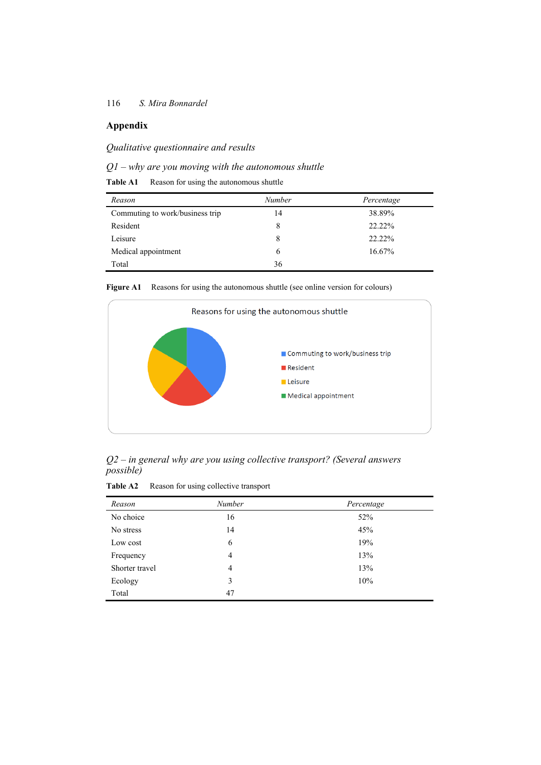# **Appendix**

*Qualitative questionnaire and results* 

## *Q1 – why are you moving with the autonomous shuttle*

**Table A1** Reason for using the autonomous shuttle

| Reason                          | Number | Percentage |
|---------------------------------|--------|------------|
| Commuting to work/business trip | 14     | 38.89%     |
| Resident                        | 8      | 22.22%     |
| Leisure                         | 8      | 22.22%     |
| Medical appointment             | 6      | 16.67%     |
| Total                           | 36     |            |

Figure A1 Reasons for using the autonomous shuttle (see online version for colours)



*Q2 – in general why are you using collective transport? (Several answers possible)* 

| Table A2 |  |  | Reason for using collective transport |  |
|----------|--|--|---------------------------------------|--|
|----------|--|--|---------------------------------------|--|

| Reason         | Number | Percentage |
|----------------|--------|------------|
| No choice      | 16     | 52%        |
| No stress      | 14     | 45%        |
| Low cost       | 6      | 19%        |
| Frequency      | 4      | 13%        |
| Shorter travel | 4      | 13%        |
| Ecology        | 3      | 10%        |
| Total          | 47     |            |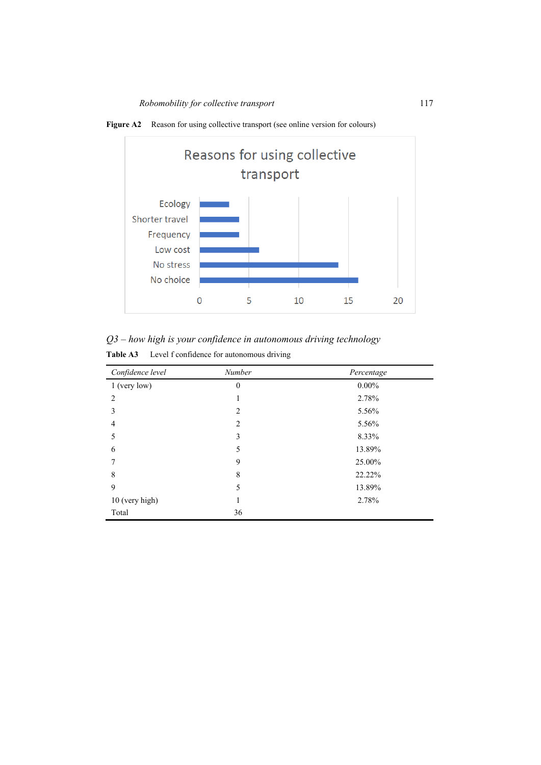

Figure A2 Reason for using collective transport (see online version for colours)

*Q3 – how high is your confidence in autonomous driving technology* 

| <b>Table A3</b> |  |  | Level f confidence for autonomous driving |  |
|-----------------|--|--|-------------------------------------------|--|
|-----------------|--|--|-------------------------------------------|--|

| Confidence level | Number         | Percentage |
|------------------|----------------|------------|
| $1$ (very low)   | $\theta$       | $0.00\%$   |
| 2                | 1              | 2.78%      |
| 3                | 2              | 5.56%      |
| 4                | $\overline{2}$ | 5.56%      |
| 5                | 3              | 8.33%      |
| 6                | 5              | 13.89%     |
|                  | 9              | 25.00%     |
| 8                | 8              | 22.22%     |
| 9                | 5              | 13.89%     |
| 10 (very high)   | 1              | 2.78%      |
| Total            | 36             |            |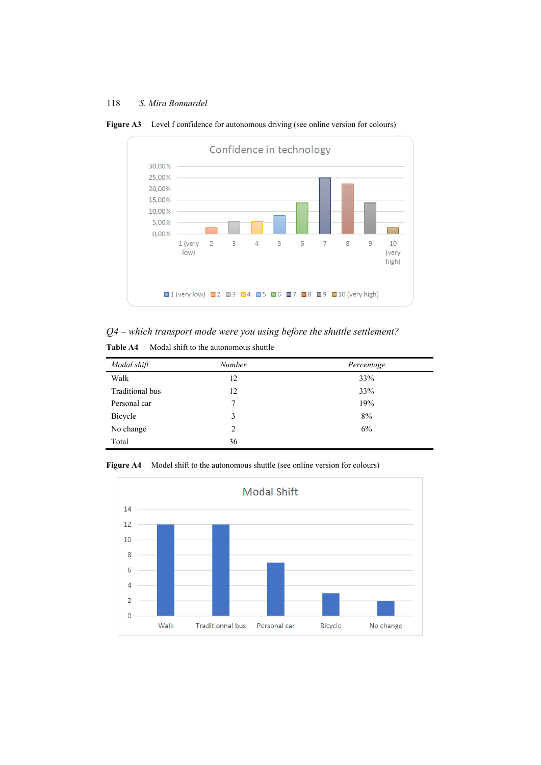

Figure A3 Level f confidence for autonomous driving (see online version for colours)

## *Q4 – which transport mode were you using before the shuttle settlement?*

| Modal shift     | <b>Number</b> | Percentage |
|-----------------|---------------|------------|
| Walk            | 12            | 33%        |
| Traditional bus | 12            | 33%        |
| Personal car    | $\tau$        | 19%        |
| Bicycle         | 3             | 8%         |
| No change       | 2             | 6%         |
| Total           | 36            |            |

Figure A4 Model shift to the autonomous shuttle (see online version for colours)

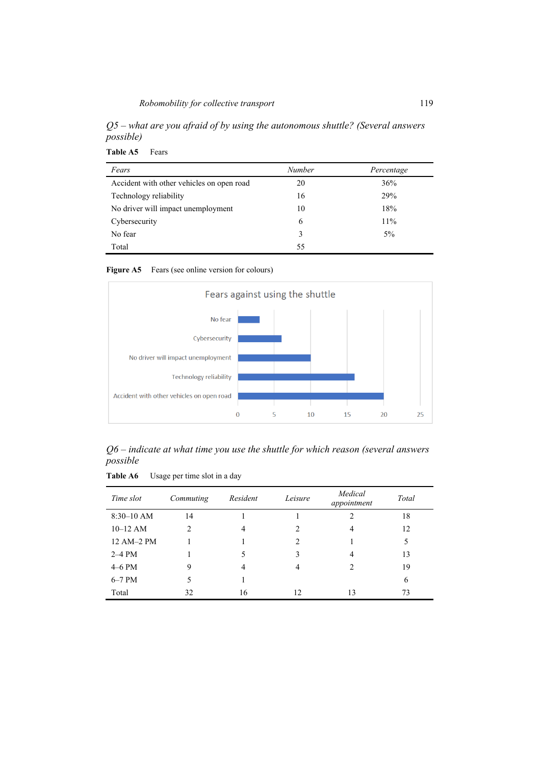*Q5 – what are you afraid of by using the autonomous shuttle? (Several answers possible)* 

**Table A5** Fears

| Fears                                     | <b>Number</b> | Percentage |
|-------------------------------------------|---------------|------------|
| Accident with other vehicles on open road | 20            | 36%        |
| Technology reliability                    | 16            | 29%        |
| No driver will impact unemployment        | 10            | 18%        |
| Cybersecurity                             | 6             | 11%        |
| No fear                                   | 3             | $5\%$      |
| Total                                     | 55            |            |

Figure A5 Fears (see online version for colours)



*Q6 – indicate at what time you use the shuttle for which reason (several answers possible* 

**Table A6** Usage per time slot in a day

| Time slot    | Commuting     | Resident | Leisure                     | Medical<br>appointment                                                                                                                                                                                                                                                                                                                                                                                      | Total |
|--------------|---------------|----------|-----------------------------|-------------------------------------------------------------------------------------------------------------------------------------------------------------------------------------------------------------------------------------------------------------------------------------------------------------------------------------------------------------------------------------------------------------|-------|
| $8:30-10$ AM | 14            |          |                             | 2                                                                                                                                                                                                                                                                                                                                                                                                           | 18    |
| $10-12$ AM   | $\mathcal{L}$ | 4        | 2                           | 4                                                                                                                                                                                                                                                                                                                                                                                                           | 12    |
| 12 AM-2 PM   |               |          | $\mathcal{D}_{\mathcal{L}}$ |                                                                                                                                                                                                                                                                                                                                                                                                             | 5     |
| $2-4$ PM     |               |          | 3                           | 4                                                                                                                                                                                                                                                                                                                                                                                                           | 13    |
| $4-6$ PM     | 9             | 4        | 4                           | $\mathfrak{D}_{1}^{(1)} = \mathfrak{D}_{2}^{(1)} = \mathfrak{D}_{2}^{(1)} = \mathfrak{D}_{2}^{(1)} = \mathfrak{D}_{2}^{(1)} = \mathfrak{D}_{2}^{(1)} = \mathfrak{D}_{2}^{(1)} = \mathfrak{D}_{2}^{(1)} = \mathfrak{D}_{2}^{(1)} = \mathfrak{D}_{2}^{(1)} = \mathfrak{D}_{2}^{(1)} = \mathfrak{D}_{2}^{(1)} = \mathfrak{D}_{2}^{(1)} = \mathfrak{D}_{2}^{(1)} = \mathfrak{D}_{2}^{(1)} = \mathfrak{D}_{2}^{$ | 19    |
| $6-7$ PM     | 5             |          |                             |                                                                                                                                                                                                                                                                                                                                                                                                             | 6     |
| Total        | 32            | 16       | 12.                         | 13                                                                                                                                                                                                                                                                                                                                                                                                          | 73    |